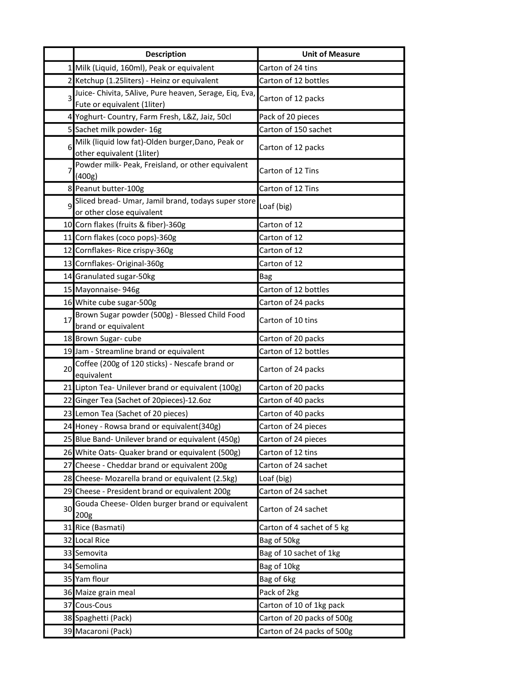|    | <b>Description</b>                                                                              | <b>Unit of Measure</b>                     |
|----|-------------------------------------------------------------------------------------------------|--------------------------------------------|
|    | 1 Milk (Liquid, 160ml), Peak or equivalent                                                      | Carton of 24 tins                          |
|    | 2 Ketchup (1.25liters) - Heinz or equivalent                                                    | Carton of 12 bottles                       |
| 3  | Juice- Chivita, 5Alive, Pure heaven, Serage, Eiq, Eva,                                          | Carton of 12 packs                         |
|    | Fute or equivalent (1liter)                                                                     |                                            |
|    | 4 Yoghurt- Country, Farm Fresh, L&Z, Jaiz, 50cl                                                 | Pack of 20 pieces                          |
|    | 5 Sachet milk powder-16g                                                                        | Carton of 150 sachet                       |
| 6  | Milk (liquid low fat)-Olden burger, Dano, Peak or                                               | Carton of 12 packs                         |
|    | other equivalent (1liter)                                                                       |                                            |
| 7  | Powder milk- Peak, Freisland, or other equivalent<br>(400g)                                     | Carton of 12 Tins                          |
|    | 8 Peanut butter-100g                                                                            | Carton of 12 Tins                          |
|    | Sliced bread- Umar, Jamil brand, todays super store                                             |                                            |
| 9  | or other close equivalent                                                                       | Loaf (big)                                 |
|    | 10 Corn flakes (fruits & fiber)-360g                                                            | Carton of 12                               |
|    | 11 Corn flakes (coco pops)-360g                                                                 | Carton of 12                               |
|    | 12 Cornflakes-Rice crispy-360g                                                                  | Carton of 12                               |
|    | 13 Cornflakes- Original-360g                                                                    | Carton of 12                               |
|    | 14 Granulated sugar-50kg                                                                        | Bag                                        |
|    | 15 Mayonnaise-946g                                                                              | Carton of 12 bottles                       |
|    | 16 White cube sugar-500g                                                                        | Carton of 24 packs                         |
| 17 | Brown Sugar powder (500g) - Blessed Child Food                                                  | Carton of 10 tins                          |
|    | brand or equivalent                                                                             |                                            |
|    | 18 Brown Sugar-cube                                                                             | Carton of 20 packs                         |
|    | 19 Jam - Streamline brand or equivalent                                                         | Carton of 12 bottles                       |
| 20 | Coffee (200g of 120 sticks) - Nescafe brand or                                                  | Carton of 24 packs                         |
|    | equivalent<br>21 Lipton Tea- Unilever brand or equivalent (100g)                                |                                            |
|    |                                                                                                 | Carton of 20 packs                         |
|    | 22 Ginger Tea (Sachet of 20pieces)-12.6oz<br>23 Lemon Tea (Sachet of 20 pieces)                 | Carton of 40 packs<br>Carton of 40 packs   |
|    |                                                                                                 |                                            |
|    | 24 Honey - Rowsa brand or equivalent(340g)<br>25 Blue Band- Unilever brand or equivalent (450g) | Carton of 24 pieces<br>Carton of 24 pieces |
|    |                                                                                                 |                                            |
|    | 26 White Oats- Quaker brand or equivalent (500g)                                                | Carton of 12 tins                          |
|    | 27 Cheese - Cheddar brand or equivalent 200g                                                    | Carton of 24 sachet                        |
|    | 28 Cheese- Mozarella brand or equivalent (2.5kg)                                                | Loaf (big)<br>Carton of 24 sachet          |
|    | 29 Cheese - President brand or equivalent 200g<br>Gouda Cheese-Olden burger brand or equivalent |                                            |
| 30 | 200g                                                                                            | Carton of 24 sachet                        |
|    | 31 Rice (Basmati)                                                                               | Carton of 4 sachet of 5 kg                 |
|    | 32 Local Rice                                                                                   | Bag of 50kg                                |
|    | 33 Semovita                                                                                     | Bag of 10 sachet of 1kg                    |
|    | 34 Semolina                                                                                     | Bag of 10kg                                |
|    | 35 Yam flour                                                                                    | Bag of 6kg                                 |
|    | 36 Maize grain meal                                                                             | Pack of 2kg                                |
|    | 37 Cous-Cous                                                                                    | Carton of 10 of 1kg pack                   |
|    | 38 Spaghetti (Pack)                                                                             | Carton of 20 packs of 500g                 |
|    | 39 Macaroni (Pack)                                                                              | Carton of 24 packs of 500g                 |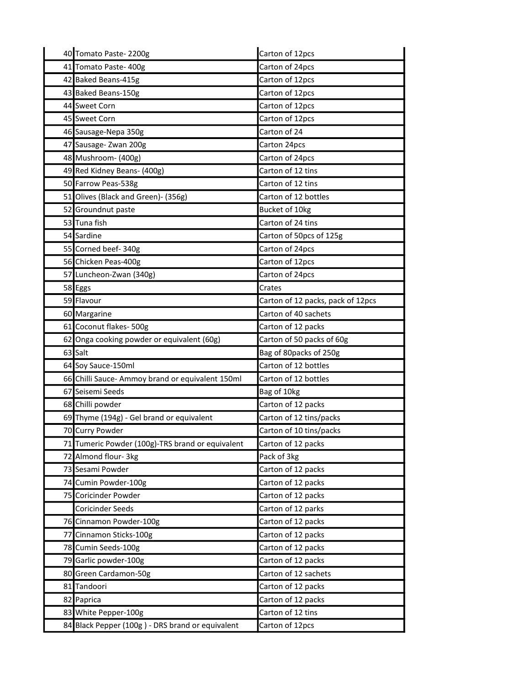|    | 40 Tomato Paste-2200g                            | Carton of 12pcs                   |
|----|--------------------------------------------------|-----------------------------------|
|    | 41 Tomato Paste-400g                             | Carton of 24pcs                   |
|    | 42 Baked Beans-415g                              | Carton of 12pcs                   |
|    | 43 Baked Beans-150g                              | Carton of 12pcs                   |
|    | 44 Sweet Corn                                    | Carton of 12pcs                   |
|    | 45 Sweet Corn                                    | Carton of 12pcs                   |
|    | 46 Sausage-Nepa 350g                             | Carton of 24                      |
|    | 47 Sausage- Zwan 200g                            | Carton 24pcs                      |
|    | 48 Mushroom- (400g)                              | Carton of 24pcs                   |
|    | 49 Red Kidney Beans- (400g)                      | Carton of 12 tins                 |
|    | 50 Farrow Peas-538g                              | Carton of 12 tins                 |
|    | 51 Olives (Black and Green)- (356g)              | Carton of 12 bottles              |
|    | 52 Groundnut paste                               | Bucket of 10kg                    |
|    | 53 Tuna fish                                     | Carton of 24 tins                 |
|    | 54 Sardine                                       | Carton of 50pcs of 125g           |
|    | 55 Corned beef-340g                              | Carton of 24pcs                   |
|    | 56 Chicken Peas-400g                             | Carton of 12pcs                   |
|    | 57 Luncheon-Zwan (340g)                          | Carton of 24pcs                   |
|    | 58 Eggs                                          | Crates                            |
|    | 59 Flavour                                       | Carton of 12 packs, pack of 12pcs |
|    | 60 Margarine                                     | Carton of 40 sachets              |
|    | 61 Coconut flakes- 500g                          | Carton of 12 packs                |
|    | 62 Onga cooking powder or equivalent (60g)       | Carton of 50 packs of 60g         |
|    | 63 Salt                                          | Bag of 80packs of 250g            |
|    | 64 Soy Sauce-150ml                               | Carton of 12 bottles              |
|    | 66 Chilli Sauce- Ammoy brand or equivalent 150ml | Carton of 12 bottles              |
|    | 67 Seisemi Seeds                                 | Bag of 10kg                       |
|    | 68 Chilli powder                                 | Carton of 12 packs                |
|    | 69 Thyme (194g) - Gel brand or equivalent        | Carton of 12 tins/packs           |
|    | 70 Curry Powder                                  | Carton of 10 tins/packs           |
|    | 71 Tumeric Powder (100g)-TRS brand or equivalent | Carton of 12 packs                |
|    | 72 Almond flour- 3kg                             | Pack of 3kg                       |
|    | 73 Sesami Powder                                 | Carton of 12 packs                |
|    | 74 Cumin Powder-100g                             | Carton of 12 packs                |
|    | 75 Coricinder Powder                             | Carton of 12 packs                |
|    | <b>Coricinder Seeds</b>                          | Carton of 12 parks                |
|    | 76 Cinnamon Powder-100g                          | Carton of 12 packs                |
|    | 77 Cinnamon Sticks-100g                          | Carton of 12 packs                |
|    | 78 Cumin Seeds-100g                              | Carton of 12 packs                |
|    | 79 Garlic powder-100g                            | Carton of 12 packs                |
| 80 | Green Cardamon-50g                               | Carton of 12 sachets              |
|    | 81 Tandoori                                      | Carton of 12 packs                |
|    | 82 Paprica                                       | Carton of 12 packs                |
|    | 83 White Pepper-100g                             | Carton of 12 tins                 |
|    | 84 Black Pepper (100g) - DRS brand or equivalent | Carton of 12pcs                   |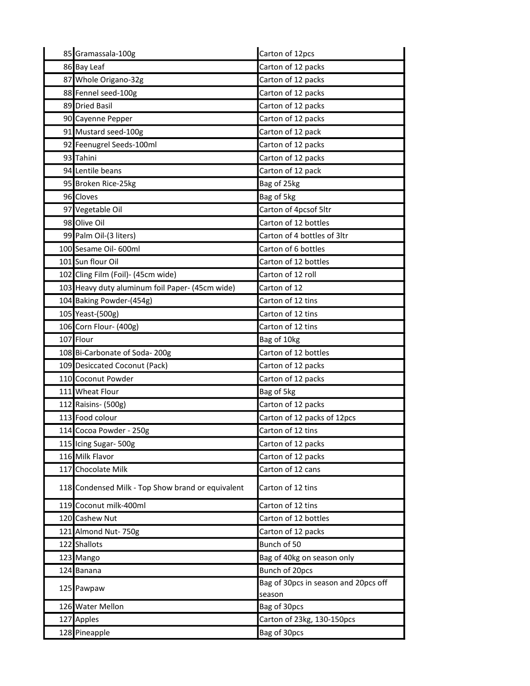| 85 Gramassala-100g                                | Carton of 12pcs                                |
|---------------------------------------------------|------------------------------------------------|
| 86 Bay Leaf                                       | Carton of 12 packs                             |
| 87 Whole Origano-32g                              | Carton of 12 packs                             |
| 88 Fennel seed-100g                               | Carton of 12 packs                             |
| 89 Dried Basil                                    | Carton of 12 packs                             |
| 90 Cayenne Pepper                                 | Carton of 12 packs                             |
| 91 Mustard seed-100g                              | Carton of 12 pack                              |
| 92 Feenugrel Seeds-100ml                          | Carton of 12 packs                             |
| 93 Tahini                                         | Carton of 12 packs                             |
| 94 Lentile beans                                  | Carton of 12 pack                              |
| 95 Broken Rice-25kg                               | Bag of 25kg                                    |
| 96 Cloves                                         | Bag of 5kg                                     |
| 97 Vegetable Oil                                  | Carton of 4pcsof 5ltr                          |
| 98 Olive Oil                                      | Carton of 12 bottles                           |
| 99 Palm Oil-(3 liters)                            | Carton of 4 bottles of 3ltr                    |
| 100 Sesame Oil- 600ml                             | Carton of 6 bottles                            |
| 101 Sun flour Oil                                 | Carton of 12 bottles                           |
| 102 Cling Film (Foil)- (45cm wide)                | Carton of 12 roll                              |
| 103 Heavy duty aluminum foil Paper- (45cm wide)   | Carton of 12                                   |
| 104 Baking Powder-(454g)                          | Carton of 12 tins                              |
| 105 Yeast-(500g)                                  | Carton of 12 tins                              |
| 106 Corn Flour- (400g)                            | Carton of 12 tins                              |
| 107 Flour                                         | Bag of 10kg                                    |
| 108 Bi-Carbonate of Soda-200g                     | Carton of 12 bottles                           |
| 109 Desiccated Coconut (Pack)                     | Carton of 12 packs                             |
| 110 Coconut Powder                                | Carton of 12 packs                             |
| 111 Wheat Flour                                   | Bag of 5kg                                     |
| 112 Raisins- (500g)                               | Carton of 12 packs                             |
| 113 Food colour                                   | Carton of 12 packs of 12pcs                    |
| 114 Cocoa Powder - 250g                           | Carton of 12 tins                              |
| 115 Icing Sugar-500g                              | Carton of 12 packs                             |
| 116 Milk Flavor                                   | Carton of 12 packs                             |
| 117 Chocolate Milk                                | Carton of 12 cans                              |
| 118 Condensed Milk - Top Show brand or equivalent | Carton of 12 tins                              |
| 119 Coconut milk-400ml                            | Carton of 12 tins                              |
| 120 Cashew Nut                                    | Carton of 12 bottles                           |
| 121 Almond Nut- 750g                              | Carton of 12 packs                             |
| 122 Shallots                                      | Bunch of 50                                    |
| 123 Mango                                         | Bag of 40kg on season only                     |
| 124 Banana                                        | Bunch of 20pcs                                 |
| 125 Pawpaw                                        | Bag of 30pcs in season and 20pcs off<br>season |
| 126 Water Mellon                                  | Bag of 30pcs                                   |
| 127 Apples                                        | Carton of 23kg, 130-150pcs                     |
| 128 Pineapple                                     | Bag of 30pcs                                   |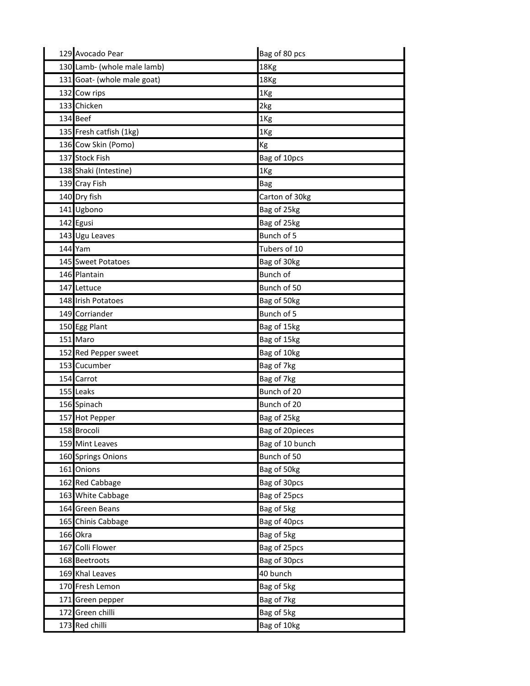| 129 Avocado Pear            | Bag of 80 pcs   |
|-----------------------------|-----------------|
| 130 Lamb- (whole male lamb) | 18Kg            |
| 131 Goat- (whole male goat) | 18Kg            |
| 132 Cow rips                | 1Kg             |
| 133 Chicken                 | 2kg             |
| 134 Beef                    | 1Kg             |
| 135 Fresh catfish (1kg)     | 1Kg             |
| 136 Cow Skin (Pomo)         | Kg              |
| 137 Stock Fish              | Bag of 10pcs    |
| 138 Shaki (Intestine)       | 1Kg             |
| 139 Cray Fish               | <b>Bag</b>      |
| 140 Dry fish                | Carton of 30kg  |
| 141 Ugbono                  | Bag of 25kg     |
| 142 Egusi                   | Bag of 25kg     |
| 143 Ugu Leaves              | Bunch of 5      |
| 144 Yam                     | Tubers of 10    |
| 145 Sweet Potatoes          | Bag of 30kg     |
| 146 Plantain                | Bunch of        |
| 147 Lettuce                 | Bunch of 50     |
| 148 Irish Potatoes          | Bag of 50kg     |
| 149 Corriander              | Bunch of 5      |
| 150 Egg Plant               | Bag of 15kg     |
| 151 Maro                    | Bag of 15kg     |
| 152 Red Pepper sweet        | Bag of 10kg     |
| 153 Cucumber                | Bag of 7kg      |
| 154 Carrot                  | Bag of 7kg      |
| 155 Leaks                   | Bunch of 20     |
| 156 Spinach                 | Bunch of 20     |
| 157 Hot Pepper              | Bag of 25kg     |
| 158 Brocoli                 | Bag of 20pieces |
| 159 Mint Leaves             | Bag of 10 bunch |
| 160 Springs Onions          | Bunch of 50     |
| 161 Onions                  | Bag of 50kg     |
| 162 Red Cabbage             | Bag of 30pcs    |
| 163 White Cabbage           | Bag of 25pcs    |
| 164 Green Beans             | Bag of 5kg      |
| 165 Chinis Cabbage          | Bag of 40pcs    |
| 166 Okra                    | Bag of 5kg      |
| 167 Colli Flower            | Bag of 25pcs    |
| 168 Beetroots               | Bag of 30pcs    |
| 169 Khal Leaves             | 40 bunch        |
| 170 Fresh Lemon             | Bag of 5kg      |
| 171 Green pepper            | Bag of 7kg      |
| 172 Green chilli            | Bag of 5kg      |
| 173 Red chilli              | Bag of 10kg     |